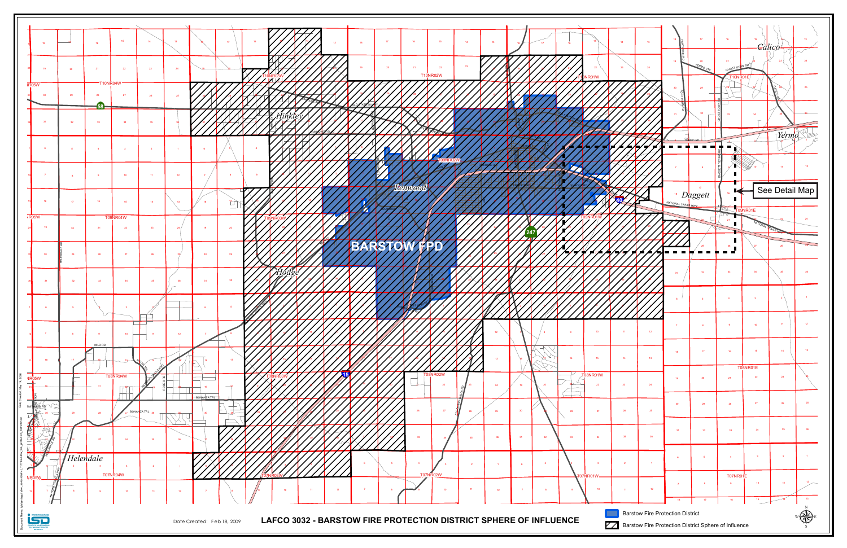